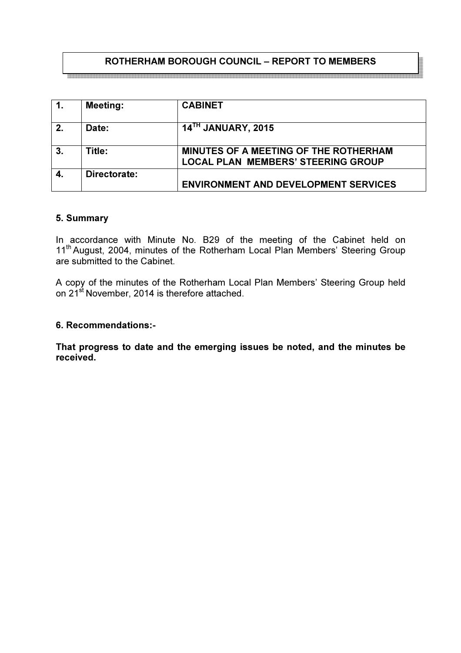# ROTHERHAM BOROUGH COUNCIL – REPORT TO MEMBERS

| $\mathbf{1}$ | <b>Meeting:</b> | <b>CABINET</b>                                                                            |
|--------------|-----------------|-------------------------------------------------------------------------------------------|
| 2.           | Date:           | 14 <sup>TH</sup> JANUARY, 2015                                                            |
| 3.           | Title:          | <b>MINUTES OF A MEETING OF THE ROTHERHAM</b><br><b>LOCAL PLAN MEMBERS' STEERING GROUP</b> |
| 4.           | Directorate:    | <b>ENVIRONMENT AND DEVELOPMENT SERVICES</b>                                               |

#### 5. Summary

In accordance with Minute No. B29 of the meeting of the Cabinet held on 11<sup>th</sup> August, 2004, minutes of the Rotherham Local Plan Members' Steering Group are submitted to the Cabinet.

A copy of the minutes of the Rotherham Local Plan Members' Steering Group held on 21<sup>st</sup> November, 2014 is therefore attached.

#### 6. Recommendations:-

That progress to date and the emerging issues be noted, and the minutes be received.